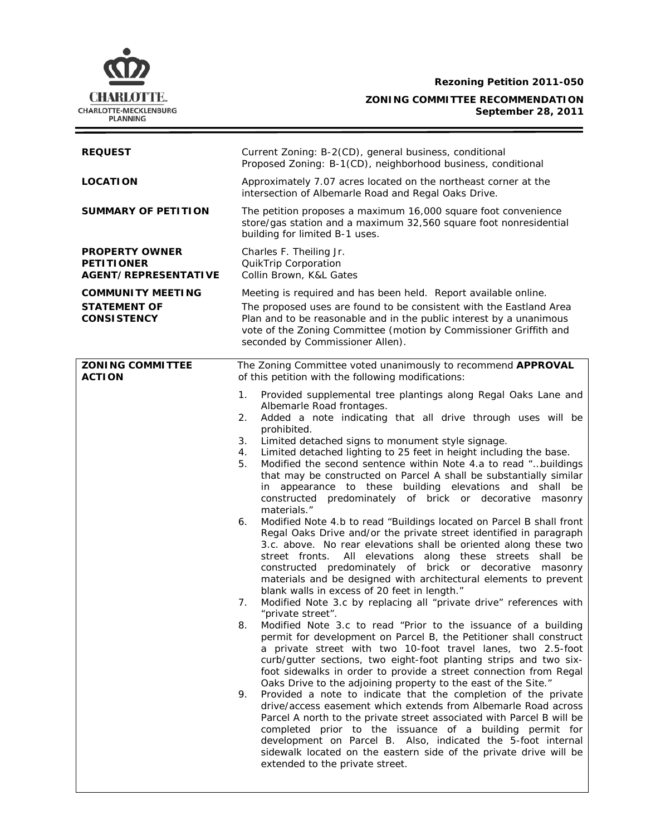**Rezoning Petition 2011-050** 

# **ZONING COMMITTEE RECOMMENDATION September 28, 2011**

| <b>REQUEST</b>                                                            | Current Zoning: B-2(CD), general business, conditional<br>Proposed Zoning: B-1(CD), neighborhood business, conditional                                                                                                                                                                                                                                                                                                                                                                                                                                                                                                                                                                                                                                                                                                                                                                                                                                                                                                                                                                                                                                                                                                                                                                                                                                                                                                                                                                                                                                                                                                                                                                                                                                                                                                                                                                                                                                                                                                                                                       |  |  |
|---------------------------------------------------------------------------|------------------------------------------------------------------------------------------------------------------------------------------------------------------------------------------------------------------------------------------------------------------------------------------------------------------------------------------------------------------------------------------------------------------------------------------------------------------------------------------------------------------------------------------------------------------------------------------------------------------------------------------------------------------------------------------------------------------------------------------------------------------------------------------------------------------------------------------------------------------------------------------------------------------------------------------------------------------------------------------------------------------------------------------------------------------------------------------------------------------------------------------------------------------------------------------------------------------------------------------------------------------------------------------------------------------------------------------------------------------------------------------------------------------------------------------------------------------------------------------------------------------------------------------------------------------------------------------------------------------------------------------------------------------------------------------------------------------------------------------------------------------------------------------------------------------------------------------------------------------------------------------------------------------------------------------------------------------------------------------------------------------------------------------------------------------------------|--|--|
| <b>LOCATION</b>                                                           | Approximately 7.07 acres located on the northeast corner at the<br>intersection of Albemarle Road and Regal Oaks Drive.                                                                                                                                                                                                                                                                                                                                                                                                                                                                                                                                                                                                                                                                                                                                                                                                                                                                                                                                                                                                                                                                                                                                                                                                                                                                                                                                                                                                                                                                                                                                                                                                                                                                                                                                                                                                                                                                                                                                                      |  |  |
| <b>SUMMARY OF PETITION</b>                                                | The petition proposes a maximum 16,000 square foot convenience<br>store/gas station and a maximum 32,560 square foot nonresidential<br>building for limited B-1 uses.                                                                                                                                                                                                                                                                                                                                                                                                                                                                                                                                                                                                                                                                                                                                                                                                                                                                                                                                                                                                                                                                                                                                                                                                                                                                                                                                                                                                                                                                                                                                                                                                                                                                                                                                                                                                                                                                                                        |  |  |
| <b>PROPERTY OWNER</b><br><b>PETITIONER</b><br><b>AGENT/REPRESENTATIVE</b> | Charles F. Theiling Jr.<br>QuikTrip Corporation<br>Collin Brown, K&L Gates                                                                                                                                                                                                                                                                                                                                                                                                                                                                                                                                                                                                                                                                                                                                                                                                                                                                                                                                                                                                                                                                                                                                                                                                                                                                                                                                                                                                                                                                                                                                                                                                                                                                                                                                                                                                                                                                                                                                                                                                   |  |  |
| <b>COMMUNITY MEETING</b>                                                  | Meeting is required and has been held. Report available online.                                                                                                                                                                                                                                                                                                                                                                                                                                                                                                                                                                                                                                                                                                                                                                                                                                                                                                                                                                                                                                                                                                                                                                                                                                                                                                                                                                                                                                                                                                                                                                                                                                                                                                                                                                                                                                                                                                                                                                                                              |  |  |
| <b>STATEMENT OF</b><br><b>CONSISTENCY</b>                                 | The proposed uses are found to be consistent with the Eastland Area<br>Plan and to be reasonable and in the public interest by a unanimous<br>vote of the Zoning Committee (motion by Commissioner Griffith and<br>seconded by Commissioner Allen).                                                                                                                                                                                                                                                                                                                                                                                                                                                                                                                                                                                                                                                                                                                                                                                                                                                                                                                                                                                                                                                                                                                                                                                                                                                                                                                                                                                                                                                                                                                                                                                                                                                                                                                                                                                                                          |  |  |
| <b>ZONING COMMITTEE</b><br><b>ACTION</b>                                  | The Zoning Committee voted unanimously to recommend APPROVAL<br>of this petition with the following modifications:                                                                                                                                                                                                                                                                                                                                                                                                                                                                                                                                                                                                                                                                                                                                                                                                                                                                                                                                                                                                                                                                                                                                                                                                                                                                                                                                                                                                                                                                                                                                                                                                                                                                                                                                                                                                                                                                                                                                                           |  |  |
|                                                                           | Provided supplemental tree plantings along Regal Oaks Lane and<br>1.<br>Albemarle Road frontages.<br>Added a note indicating that all drive through uses will be<br>2.<br>prohibited.<br>Limited detached signs to monument style signage.<br>3.<br>Limited detached lighting to 25 feet in height including the base.<br>4.<br>Modified the second sentence within Note 4.a to read "buildings<br>5.<br>that may be constructed on Parcel A shall be substantially similar<br>in appearance to these building elevations and shall be<br>constructed predominately of brick or decorative masonry<br>materials."<br>Modified Note 4.b to read "Buildings located on Parcel B shall front<br>6.<br>Regal Oaks Drive and/or the private street identified in paragraph<br>3.c. above. No rear elevations shall be oriented along these two<br>All elevations along these streets shall be<br>street fronts.<br>constructed predominately of brick or decorative masonry<br>materials and be designed with architectural elements to prevent<br>blank walls in excess of 20 feet in length."<br>Modified Note 3.c by replacing all "private drive" references with<br>7.<br>"private street".<br>8.<br>Modified Note 3.c to read "Prior to the issuance of a building<br>permit for development on Parcel B, the Petitioner shall construct<br>a private street with two 10-foot travel lanes, two 2.5-foot<br>curb/gutter sections, two eight-foot planting strips and two six-<br>foot sidewalks in order to provide a street connection from Regal<br>Oaks Drive to the adjoining property to the east of the Site."<br>9.<br>Provided a note to indicate that the completion of the private<br>drive/access easement which extends from Albemarle Road across<br>Parcel A north to the private street associated with Parcel B will be<br>completed prior to the issuance of a building permit for<br>development on Parcel B. Also, indicated the 5-foot internal<br>sidewalk located on the eastern side of the private drive will be<br>extended to the private street. |  |  |

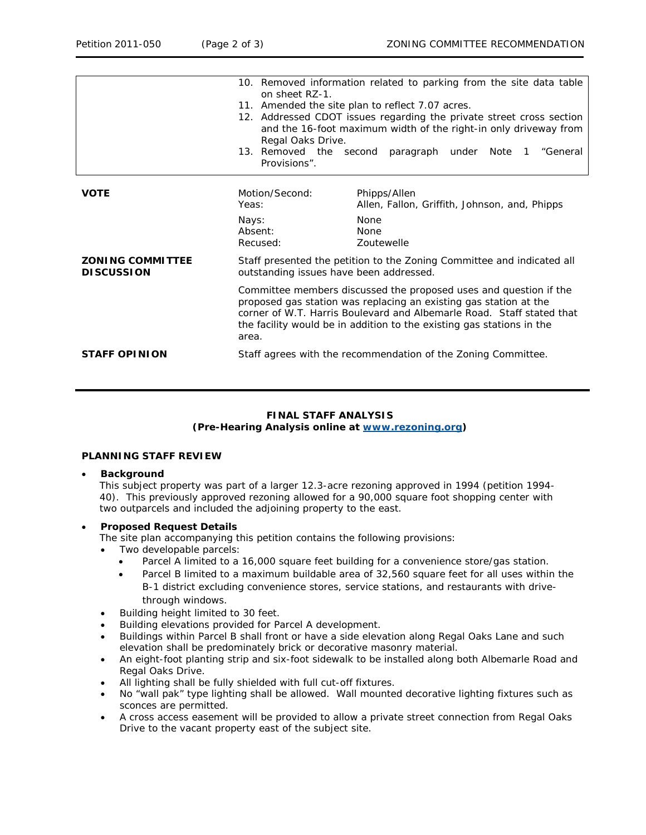|                                              | 10. Removed information related to parking from the site data table<br>on sheet RZ-1.<br>11. Amended the site plan to reflect 7.07 acres.<br>12. Addressed CDOT issues regarding the private street cross section<br>and the 16-foot maximum width of the right-in only driveway from<br>Regal Oaks Drive.<br>13. Removed the second<br>paragraph under Note<br>"General<br>$\mathbf{1}$<br>Provisions". |                                                                                                           |  |
|----------------------------------------------|----------------------------------------------------------------------------------------------------------------------------------------------------------------------------------------------------------------------------------------------------------------------------------------------------------------------------------------------------------------------------------------------------------|-----------------------------------------------------------------------------------------------------------|--|
| <b>VOTE</b>                                  | Motion/Second:<br>Yeas:<br>Nays:<br>Absent:<br>Recused:                                                                                                                                                                                                                                                                                                                                                  | Phipps/Allen<br>Allen, Fallon, Griffith, Johnson, and, Phipps<br>None<br><b>None</b><br><b>Zoutewelle</b> |  |
| <b>ZONING COMMITTEE</b><br><b>DISCUSSION</b> | Staff presented the petition to the Zoning Committee and indicated all<br>outstanding issues have been addressed.                                                                                                                                                                                                                                                                                        |                                                                                                           |  |
|                                              | Committee members discussed the proposed uses and question if the<br>proposed gas station was replacing an existing gas station at the<br>corner of W.T. Harris Boulevard and Albemarle Road. Staff stated that<br>the facility would be in addition to the existing gas stations in the<br>area.                                                                                                        |                                                                                                           |  |
| <b>STAFF OPINION</b>                         | Staff agrees with the recommendation of the Zoning Committee.                                                                                                                                                                                                                                                                                                                                            |                                                                                                           |  |

# **FINAL STAFF ANALYSIS (Pre-Hearing Analysis online at [www.rezoning.org](http://www.rezoning.org/))**

## **PLANNING STAFF REVIEW**

#### • **Background**

This subject property was part of a larger 12.3-acre rezoning approved in 1994 (petition 1994- 40). This previously approved rezoning allowed for a 90,000 square foot shopping center with two outparcels and included the adjoining property to the east.

# • **Proposed Request Details**

The site plan accompanying this petition contains the following provisions:

- Two developable parcels:
	- Parcel A limited to a 16,000 square feet building for a convenience store/gas station.
	- Parcel B limited to a maximum buildable area of 32,560 square feet for all uses within the B-1 district excluding convenience stores, service stations, and restaurants with drivethrough windows.
- Building height limited to 30 feet.
- Building elevations provided for Parcel A development.
- Buildings within Parcel B shall front or have a side elevation along Regal Oaks Lane and such elevation shall be predominately brick or decorative masonry material.
- An eight-foot planting strip and six-foot sidewalk to be installed along both Albemarle Road and Regal Oaks Drive.
- All lighting shall be fully shielded with full cut-off fixtures.
- No "wall pak" type lighting shall be allowed. Wall mounted decorative lighting fixtures such as sconces are permitted.
- A cross access easement will be provided to allow a private street connection from Regal Oaks Drive to the vacant property east of the subject site.